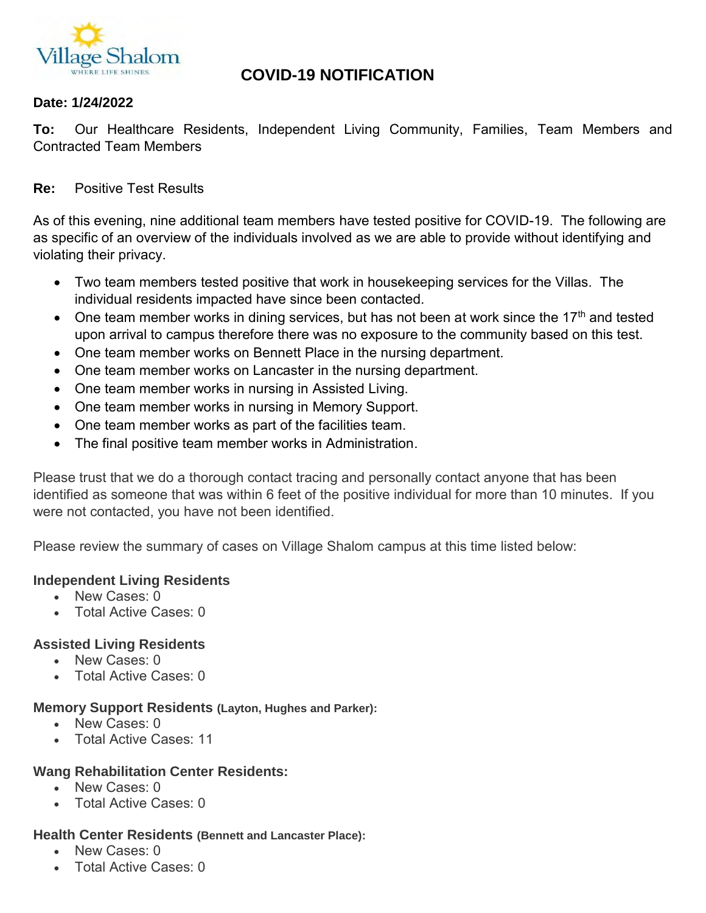

# **COVID-19 NOTIFICATION**

### **Date: 1/24/2022**

**To:** Our Healthcare Residents, Independent Living Community, Families, Team Members and Contracted Team Members

### **Re:** Positive Test Results

As of this evening, nine additional team members have tested positive for COVID-19. The following are as specific of an overview of the individuals involved as we are able to provide without identifying and violating their privacy.

- Two team members tested positive that work in housekeeping services for the Villas. The individual residents impacted have since been contacted.
- One team member works in dining services, but has not been at work since the  $17<sup>th</sup>$  and tested upon arrival to campus therefore there was no exposure to the community based on this test.
- One team member works on Bennett Place in the nursing department.
- One team member works on Lancaster in the nursing department.
- One team member works in nursing in Assisted Living.
- One team member works in nursing in Memory Support.
- One team member works as part of the facilities team.
- The final positive team member works in Administration.

Please trust that we do a thorough contact tracing and personally contact anyone that has been identified as someone that was within 6 feet of the positive individual for more than 10 minutes. If you were not contacted, you have not been identified.

Please review the summary of cases on Village Shalom campus at this time listed below:

#### **Independent Living Residents**

- New Cases: 0
- Total Active Cases: 0

#### **Assisted Living Residents**

- New Cases: 0
- Total Active Cases: 0

#### **Memory Support Residents (Layton, Hughes and Parker):**

- New Cases: 0
- Total Active Cases: 11

#### **Wang Rehabilitation Center Residents:**

- New Cases: 0
- Total Active Cases: 0

### **Health Center Residents (Bennett and Lancaster Place):**

- New Cases: 0
- Total Active Cases: 0